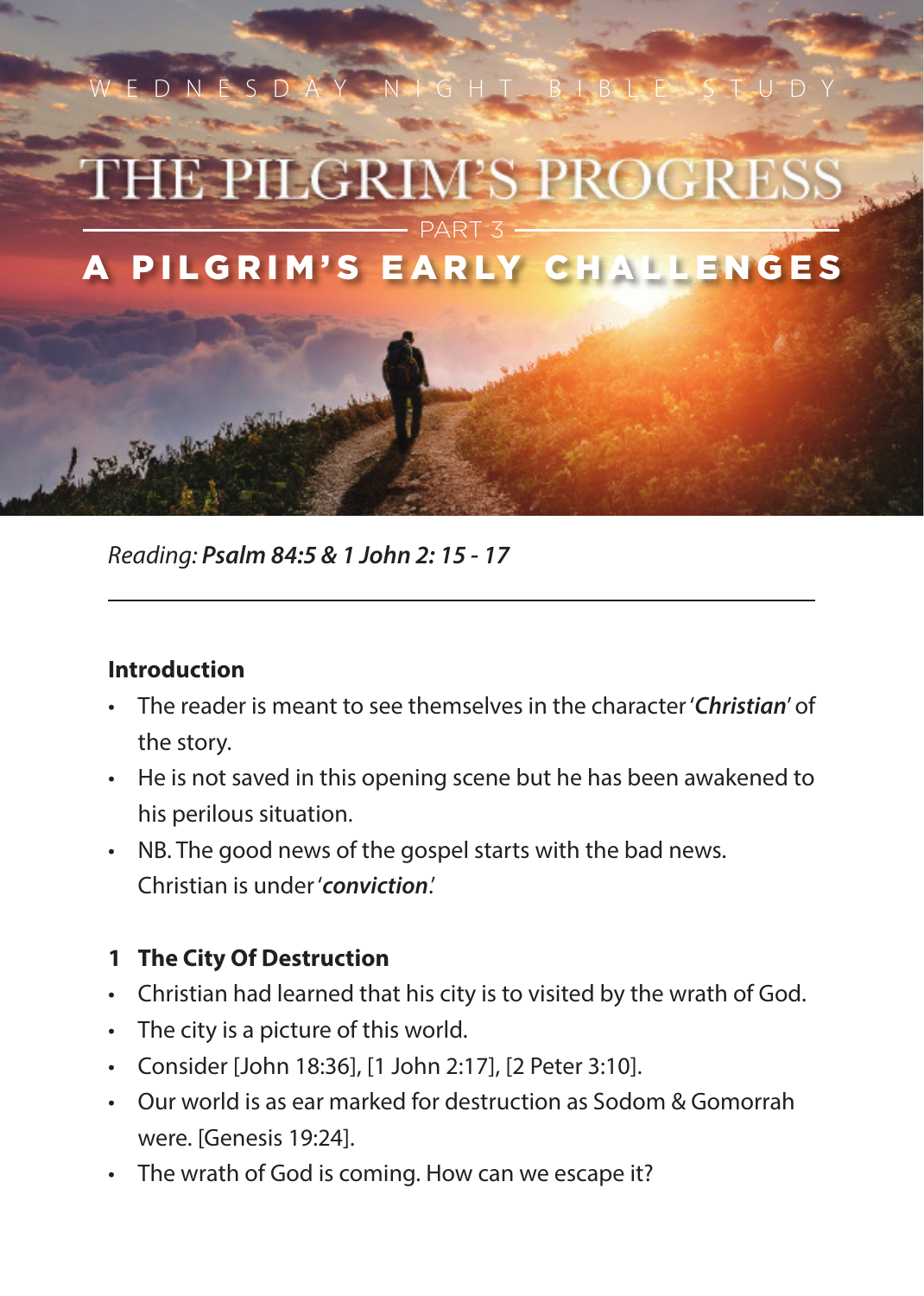

*Reading: Psalm 84:5 & 1 John 2: 15 - 17*

## **Introduction**

- The reader is meant to see themselves in the character '*Christian*' of the story.
- He is not saved in this opening scene but he has been awakened to his perilous situation.
- NB. The good news of the gospel starts with the bad news. Christian is under '*conviction*.'

## **1 The City Of Destruction**

- Christian had learned that his city is to visited by the wrath of God.
- The city is a picture of this world.
- Consider [John 18:36], [1 John 2:17], [2 Peter 3:10].
- Our world is as ear marked for destruction as Sodom & Gomorrah were. [Genesis 19:24].
- The wrath of God is coming. How can we escape it?